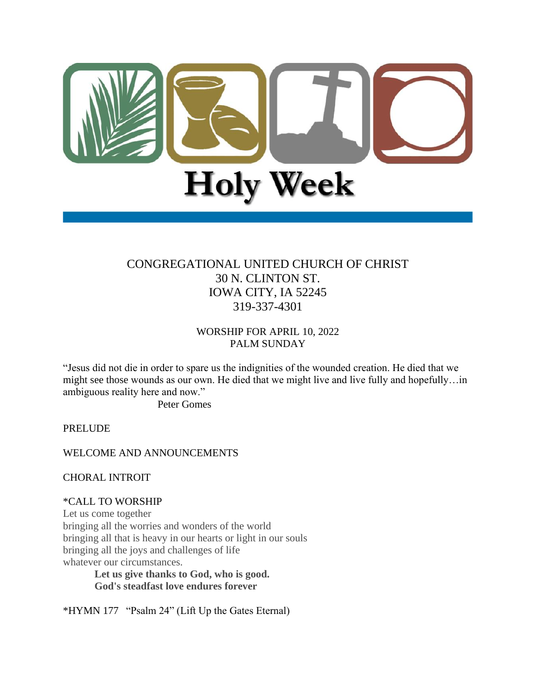

# CONGREGATIONAL UNITED CHURCH OF CHRIST 30 N. CLINTON ST. IOWA CITY, IA 52245 319-337-4301

WORSHIP FOR APRIL 10, 2022 PALM SUNDAY

"Jesus did not die in order to spare us the indignities of the wounded creation. He died that we might see those wounds as our own. He died that we might live and live fully and hopefully…in ambiguous reality here and now."

Peter Gomes

PRELUDE

WELCOME AND ANNOUNCEMENTS

CHORAL INTROIT

\*CALL TO WORSHIP

Let us come together bringing all the worries and wonders of the world bringing all that is heavy in our hearts or light in our souls bringing all the joys and challenges of life whatever our circumstances.

**Let us give thanks to God, who is good. God's steadfast love endures forever**

\*HYMN 177 "Psalm 24" (Lift Up the Gates Eternal)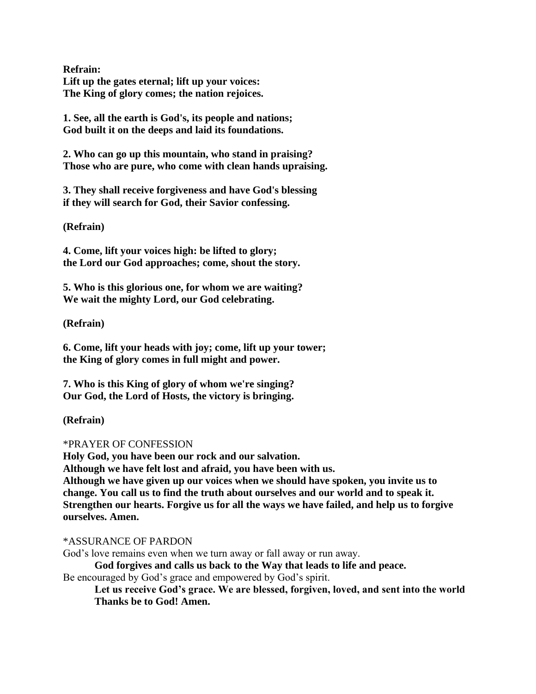**Refrain: Lift up the gates eternal; lift up your voices: The King of glory comes; the nation rejoices.**

**1. See, all the earth is God's, its people and nations; God built it on the deeps and laid its foundations.**

**2. Who can go up this mountain, who stand in praising? Those who are pure, who come with clean hands upraising.**

**3. They shall receive forgiveness and have God's blessing if they will search for God, their Savior confessing.**

**(Refrain)**

**4. Come, lift your voices high: be lifted to glory; the Lord our God approaches; come, shout the story.**

**5. Who is this glorious one, for whom we are waiting? We wait the mighty Lord, our God celebrating.**

**(Refrain)**

**6. Come, lift your heads with joy; come, lift up your tower; the King of glory comes in full might and power.**

**7. Who is this King of glory of whom we're singing? Our God, the Lord of Hosts, the victory is bringing.**

**(Refrain)**

### \*PRAYER OF CONFESSION

**Holy God, you have been our rock and our salvation. Although we have felt lost and afraid, you have been with us. Although we have given up our voices when we should have spoken, you invite us to change. You call us to find the truth about ourselves and our world and to speak it. Strengthen our hearts. Forgive us for all the ways we have failed, and help us to forgive ourselves. Amen.**

\*ASSURANCE OF PARDON

God's love remains even when we turn away or fall away or run away.

**God forgives and calls us back to the Way that leads to life and peace.** Be encouraged by God's grace and empowered by God's spirit.

**Let us receive God's grace. We are blessed, forgiven, loved, and sent into the world** 

**Thanks be to God! Amen.**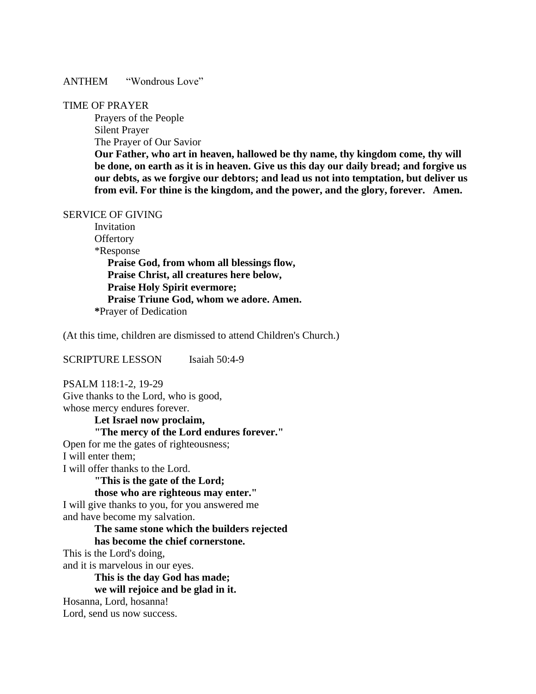ANTHEM "Wondrous Love"

#### TIME OF PRAYER

Prayers of the People Silent Prayer The Prayer of Our Savior

**Our Father, who art in heaven, hallowed be thy name, thy kingdom come, thy will be done, on earth as it is in heaven. Give us this day our daily bread; and forgive us our debts, as we forgive our debtors; and lead us not into temptation, but deliver us from evil. For thine is the kingdom, and the power, and the glory, forever. Amen.**

#### SERVICE OF GIVING

Invitation **Offertory**  \*Response **Praise God, from whom all blessings flow, Praise Christ, all creatures here below, Praise Holy Spirit evermore; Praise Triune God, whom we adore. Amen. \***Prayer of Dedication

(At this time, children are dismissed to attend Children's Church.)

SCRIPTURE LESSON Isaiah 50:4-9

PSALM 118:1-2, 19-29 Give thanks to the Lord, who is good, whose mercy endures forever.

**Let Israel now proclaim, "The mercy of the Lord endures forever."** Open for me the gates of righteousness; I will enter them; I will offer thanks to the Lord. **"This is the gate of the Lord; those who are righteous may enter."** I will give thanks to you, for you answered me and have become my salvation. **The same stone which the builders rejected has become the chief cornerstone.** This is the Lord's doing, and it is marvelous in our eyes. **This is the day God has made; we will rejoice and be glad in it.** Hosanna, Lord, hosanna! Lord, send us now success.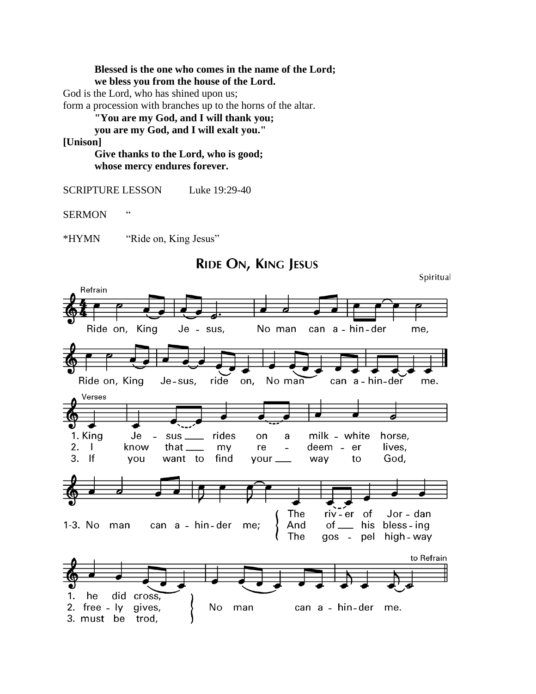**Blessed is the one who comes in the name of the Lord; we bless you from the house of the Lord.** God is the Lord, who has shined upon us; form a procession with branches up to the horns of the altar. **"You are my God, and I will thank you;**

**you are my God, and I will exalt you."**

**[Unison]**

**Give thanks to the Lord, who is good; whose mercy endures forever.**

SCRIPTURE LESSON Luke 19:29-40

SERMON "

\*HYMN "Ride on, King Jesus"

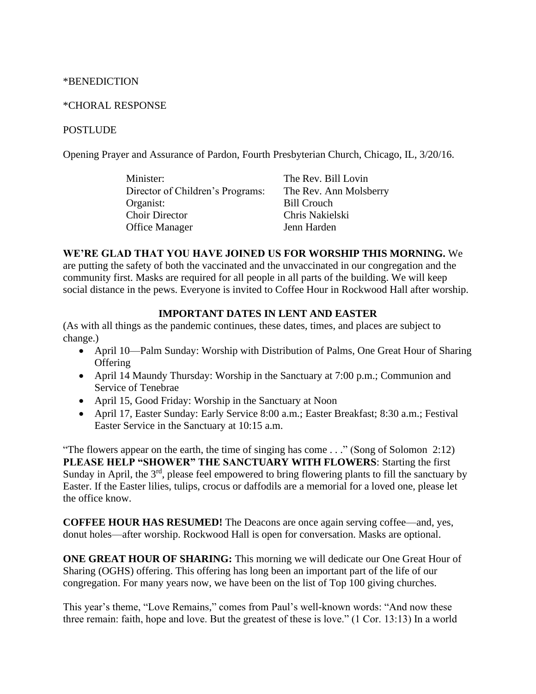### \*BENEDICTION

### \*CHORAL RESPONSE

### **POSTLUDE**

Opening Prayer and Assurance of Pardon, Fourth Presbyterian Church, Chicago, IL, 3/20/16.

| Minister:                        | The Rev. Bill Lovin    |
|----------------------------------|------------------------|
| Director of Children's Programs: | The Rev. Ann Molsberry |
| Organist:                        | <b>Bill Crouch</b>     |
| <b>Choir Director</b>            | Chris Nakielski        |
| <b>Office Manager</b>            | Jenn Harden            |

### **WE'RE GLAD THAT YOU HAVE JOINED US FOR WORSHIP THIS MORNING.** We

are putting the safety of both the vaccinated and the unvaccinated in our congregation and the community first. Masks are required for all people in all parts of the building. We will keep social distance in the pews. Everyone is invited to Coffee Hour in Rockwood Hall after worship.

### **IMPORTANT DATES IN LENT AND EASTER**

(As with all things as the pandemic continues, these dates, times, and places are subject to change.)

- April 10—Palm Sunday: Worship with Distribution of Palms, One Great Hour of Sharing **Offering**
- April 14 Maundy Thursday: Worship in the Sanctuary at 7:00 p.m.; Communion and Service of Tenebrae
- April 15, Good Friday: Worship in the Sanctuary at Noon
- April 17, Easter Sunday: Early Service 8:00 a.m.; Easter Breakfast; 8:30 a.m.; Festival Easter Service in the Sanctuary at 10:15 a.m.

"The flowers appear on the earth, the time of singing has come . . ." (Song of Solomon 2:12) **PLEASE HELP "SHOWER" THE SANCTUARY WITH FLOWERS**: Starting the first Sunday in April, the 3<sup>rd</sup>, please feel empowered to bring flowering plants to fill the sanctuary by Easter. If the Easter lilies, tulips, crocus or daffodils are a memorial for a loved one, please let the office know.

**COFFEE HOUR HAS RESUMED!** The Deacons are once again serving coffee—and, yes, donut holes—after worship. Rockwood Hall is open for conversation. Masks are optional.

**ONE GREAT HOUR OF SHARING:** This morning we will dedicate our One Great Hour of Sharing (OGHS) offering. This offering has long been an important part of the life of our congregation. For many years now, we have been on the list of Top 100 giving churches.

This year's theme, "Love Remains," comes from Paul's well-known words: "And now these three remain: faith, hope and love. But the greatest of these is love." (1 Cor. 13:13) In a world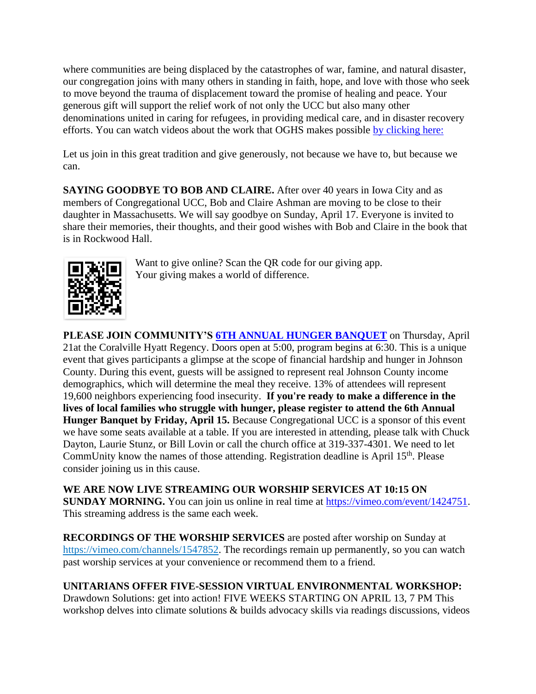where communities are being displaced by the catastrophes of war, famine, and natural disaster, our congregation joins with many others in standing in faith, hope, and love with those who seek to move beyond the trauma of displacement toward the promise of healing and peace. Your generous gift will support the relief work of not only the UCC but also many other denominations united in caring for refugees, in providing medical care, and in disaster recovery efforts. You can watch videos about the work that OGHS makes possible [by clicking here:](https://www.ucc.org/oghs_oghs-videos/)

Let us join in this great tradition and give generously, not because we have to, but because we can.

**SAYING GOODBYE TO BOB AND CLAIRE.** After over 40 years in Iowa City and as members of Congregational UCC, Bob and Claire Ashman are moving to be close to their daughter in Massachusetts. We will say goodbye on Sunday, April 17. Everyone is invited to share their memories, their thoughts, and their good wishes with Bob and Claire in the book that is in Rockwood Hall.



Want to give online? Scan the QR code for our giving app. Your giving makes a world of difference.

**PLEASE JOIN COMMUNITY'S [6TH ANNUAL HUNGER BANQUET](https://u3827260.ct.sendgrid.net/ls/click?upn=gS3E2gea2bLzZAgwSTNQlvxRREl8RibRfmYGJtFFx41v29OrE8Zx-2BjCgKDHTP2-2FRIzBPk0O7LUXuGNhFavfp27h51V3eWnU3r3mt7Cne8Zg-3DJQjr_tQM4gW6goc8pB8Iwx2x3ccc8wnXbd4BVmJ-2B1GxRX1eGivADoer210keL4KgKWJ-2F-2BXQzQZy-2BeGoWm0PsaN3qyfJ0I0t1IH29tW2G5646oqcim0lCwv-2FkBv9cZiFDS81aBr1mp-2FKf1diGG811GAjovLELlYsrJysJM0svFXw6VG2gR9IIkKLQhM-2FKw3ua0niiatvjHYSiSX4Z3gxvcL3fMlsJuOU390a7zJl-2FQTnHEas1AVVSg-2FZpfJgjxWU1V2y-2FF0xIVJh2JxMCiHc1AXAQdgEuySNaqa5Hekicd0UTos3qFdPGJ4NhjwD4DnLPwQOljYKrVm7UBnVXHvA6lEEtx-2BA5CDWvpljSbFU2DOYb68co9ioB5CDQpf4X4dUhcsuYq)** on Thursday, April 21at the Coralville Hyatt Regency. Doors open at 5:00, program begins at 6:30. This is a unique event that gives participants a glimpse at the scope of financial hardship and hunger in Johnson County. During this event, guests will be assigned to represent real Johnson County income demographics, which will determine the meal they receive. 13% of attendees will represent 19,600 neighbors experiencing food insecurity. **If you're ready to make a difference in the lives of local families who struggle with hunger, please register to attend the 6th Annual Hunger Banquet by Friday, April 15.** Because Congregational UCC is a sponsor of this event we have some seats available at a table. If you are interested in attending, please talk with Chuck Dayton, Laurie Stunz, or Bill Lovin or call the church office at 319-337-4301. We need to let CommUnity know the names of those attending. Registration deadline is April 15<sup>th</sup>. Please consider joining us in this cause.

**WE ARE NOW LIVE STREAMING OUR WORSHIP SERVICES AT 10:15 ON SUNDAY MORNING.** You can join us online in real time at [https://vimeo.com/event/1424751.](https://vimeo.com/event/1424751) This streaming address is the same each week.

**RECORDINGS OF THE WORSHIP SERVICES** are posted after worship on Sunday at [https://vimeo.com/channels/1547852.](https://vimeo.com/channels/1547852) The recordings remain up permanently, so you can watch past worship services at your convenience or recommend them to a friend.

# **UNITARIANS OFFER FIVE-SESSION VIRTUAL ENVIRONMENTAL WORKSHOP:**

Drawdown Solutions: get into action! FIVE WEEKS STARTING ON APRIL 13, 7 PM This workshop delves into climate solutions & builds advocacy skills via readings discussions, videos